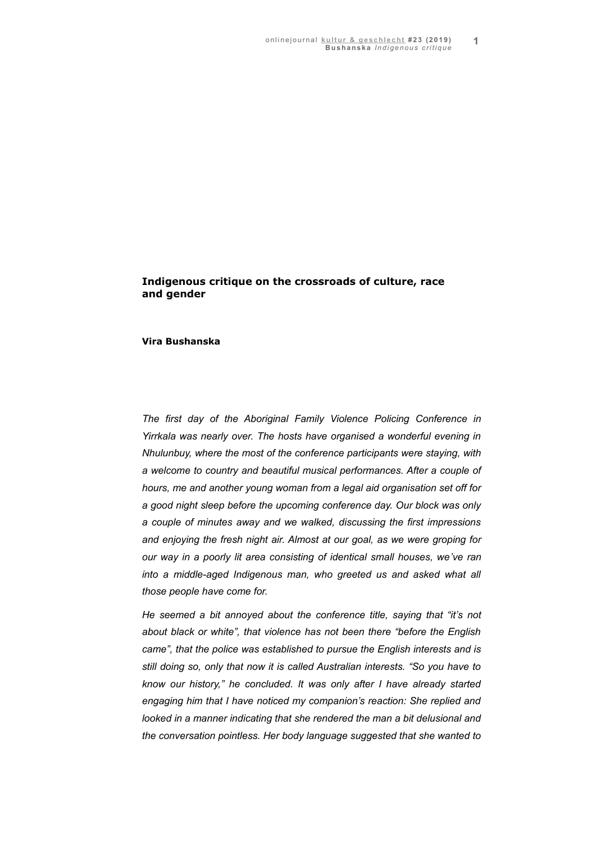# **Indigenous critique on the crossroads of culture, race and gender**

## **Vira Bushanska**

*The first day of the Aboriginal Family Violence Policing Conference in Yirrkala was nearly over. The hosts have organised a wonderful evening in Nhulunbuy, where the most of the conference participants were staying, with a welcome to country and beautiful musical performances. After a couple of hours, me and another young woman from a legal aid organisation set off for a good night sleep before the upcoming conference day. Our block was only a couple of minutes away and we walked, discussing the first impressions and enjoying the fresh night air. Almost at our goal, as we were groping for our way in a poorly lit area consisting of identical small houses, we've ran into a middle-aged Indigenous man, who greeted us and asked what all those people have come for.* 

*He seemed a bit annoyed about the conference title, saying that "it's not about black or white", that violence has not been there "before the English came", that the police was established to pursue the English interests and is still doing so, only that now it is called Australian interests. "So you have to know our history," he concluded. It was only after I have already started engaging him that I have noticed my companion's reaction: She replied and looked in a manner indicating that she rendered the man a bit delusional and the conversation pointless. Her body language suggested that she wanted to*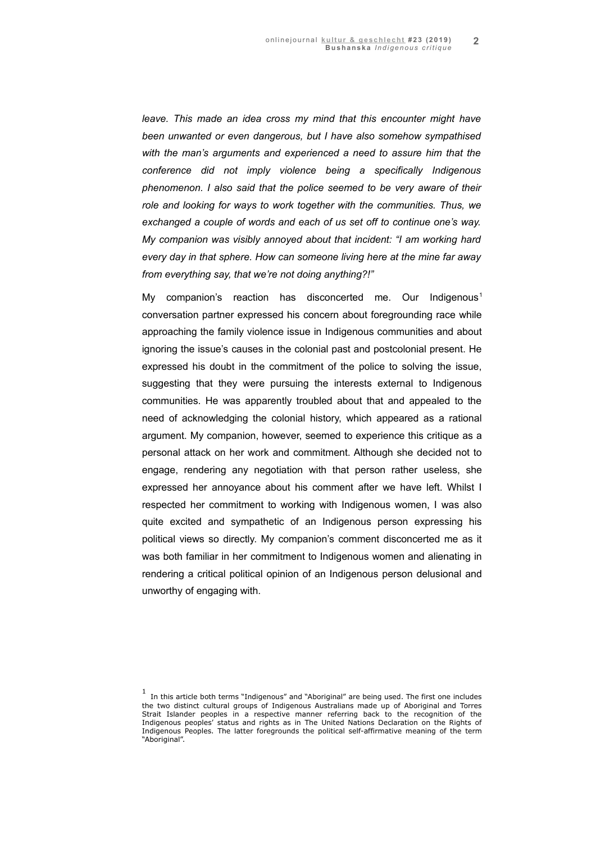*leave. This made an idea cross my mind that this encounter might have been unwanted or even dangerous, but I have also somehow sympathised with the man's arguments and experienced a need to assure him that the conference did not imply violence being a specifically Indigenous phenomenon. I also said that the police seemed to be very aware of their role and looking for ways to work together with the communities. Thus, we exchanged a couple of words and each of us set off to continue one's way. My companion was visibly annoyed about that incident: "I am working hard every day in that sphere. How can someone living here at the mine far away from everything say, that we're not doing anything?!"* 

My companion's reaction has disconcerted me. Our Indigenous<sup>[1](#page-1-0)</sup> conversation partner expressed his concern about foregrounding race while approaching the family violence issue in Indigenous communities and about ignoring the issue's causes in the colonial past and postcolonial present. He expressed his doubt in the commitment of the police to solving the issue, suggesting that they were pursuing the interests external to Indigenous communities. He was apparently troubled about that and appealed to the need of acknowledging the colonial history, which appeared as a rational argument. My companion, however, seemed to experience this critique as a personal attack on her work and commitment. Although she decided not to engage, rendering any negotiation with that person rather useless, she expressed her annoyance about his comment after we have left. Whilst I respected her commitment to working with Indigenous women, I was also quite excited and sympathetic of an Indigenous person expressing his political views so directly. My companion's comment disconcerted me as it was both familiar in her commitment to Indigenous women and alienating in rendering a critical political opinion of an Indigenous person delusional and unworthy of engaging with.

<span id="page-1-0"></span> $1$  In this article both terms "Indigenous" and "Aboriginal" are being used. The first one includes the two distinct cultural groups of Indigenous Australians made up of Aboriginal and Torres Strait Islander peoples in a respective manner referring back to the recognition of the Indigenous peoples' status and rights as in The United Nations Declaration on the Rights of Indigenous Peoples. The latter foregrounds the political self-affirmative meaning of the term "Aboriginal".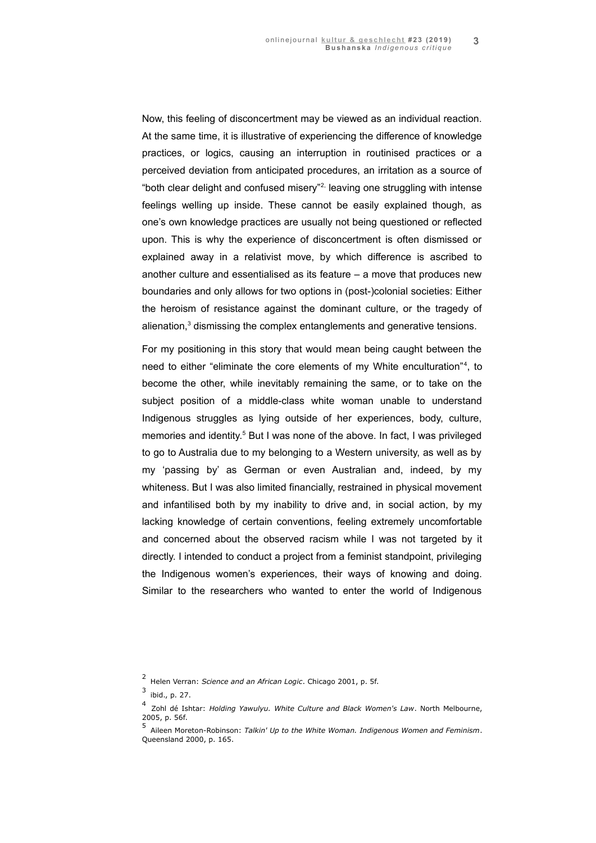Now, this feeling of disconcertment may be viewed as an individual reaction. At the same time, it is illustrative of experiencing the difference of knowledge practices, or logics, causing an interruption in routinised practices or a perceived deviation from anticipated procedures, an irritation as a source of "both clear delight and confused misery"<sup>[2,](#page-2-0)</sup> leaving one struggling with intense feelings welling up inside. These cannot be easily explained though, as one's own knowledge practices are usually not being questioned or reflected upon. This is why the experience of disconcertment is often dismissed or explained away in a relativist move, by which difference is ascribed to another culture and essentialised as its feature – a move that produces new boundaries and only allows for two options in (post-)colonial societies: Either the heroism of resistance against the dominant culture, or the tragedy of alienation,<sup>[3](#page-2-1)</sup> dismissing the complex entanglements and generative tensions.

For my positioning in this story that would mean being caught between the need to either "eliminate the core elements of my White enculturation"<sup>[4](#page-2-2)</sup>, to become the other, while inevitably remaining the same, or to take on the subject position of a middle-class white woman unable to understand Indigenous struggles as lying outside of her experiences, body, culture, memories and identity.<sup>[5](#page-2-3)</sup> But I was none of the above. In fact, I was privileged to go to Australia due to my belonging to a Western university, as well as by my 'passing by' as German or even Australian and, indeed, by my whiteness. But I was also limited financially, restrained in physical movement and infantilised both by my inability to drive and, in social action, by my lacking knowledge of certain conventions, feeling extremely uncomfortable and concerned about the observed racism while I was not targeted by it directly. I intended to conduct a project from a feminist standpoint, privileging the Indigenous women's experiences, their ways of knowing and doing. Similar to the researchers who wanted to enter the world of Indigenous

<span id="page-2-0"></span><sup>2</sup>Helen Verran: *Science and an African Logic*. Chicago 2001, p. 5f.

<span id="page-2-1"></span> $3$  ibid., p. 27.

<span id="page-2-2"></span><sup>4</sup>Zohl dé Ishtar: *Holding Yawulyu. White Culture and Black Women's Law*. North Melbourne, 2005, p. 56f.

<span id="page-2-3"></span><sup>5</sup>Aileen Moreton-Robinson: *Talkin' Up to the White Woman. Indigenous Women and Feminism*. Queensland 2000, p. 165.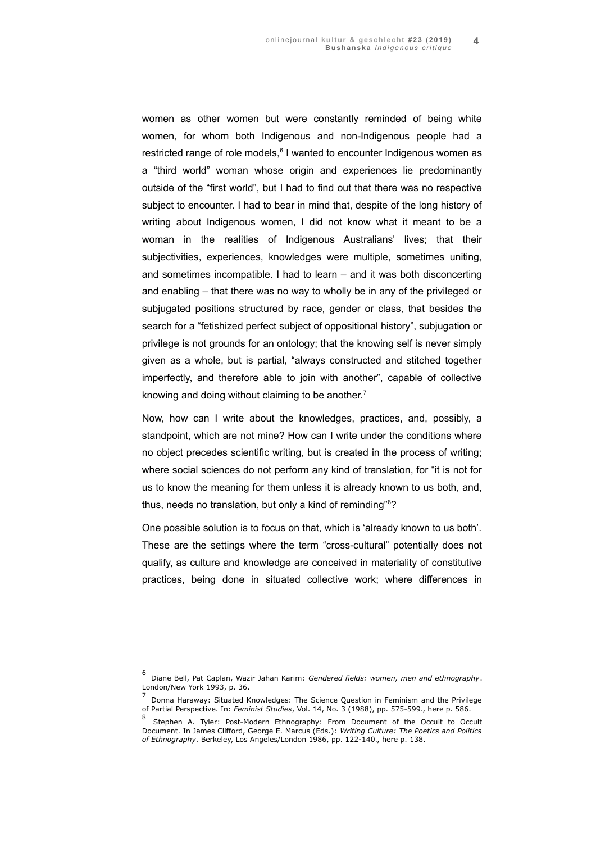women as other women but were constantly reminded of being white women, for whom both Indigenous and non-Indigenous people had a restricted range of role models,<sup>[6](#page-3-0)</sup> I wanted to encounter Indigenous women as a "third world" woman whose origin and experiences lie predominantly outside of the "first world", but I had to find out that there was no respective subject to encounter. I had to bear in mind that, despite of the long history of writing about Indigenous women, I did not know what it meant to be a woman in the realities of Indigenous Australians' lives; that their subjectivities, experiences, knowledges were multiple, sometimes uniting, and sometimes incompatible. I had to learn – and it was both disconcerting and enabling – that there was no way to wholly be in any of the privileged or subjugated positions structured by race, gender or class, that besides the search for a "fetishized perfect subject of oppositional history", subjugation or privilege is not grounds for an ontology; that the knowing self is never simply given as a whole, but is partial, "always constructed and stitched together imperfectly, and therefore able to join with another", capable of collective knowing and doing without claiming to be another.<sup>[7](#page-3-1)</sup>

Now, how can I write about the knowledges, practices, and, possibly, a standpoint, which are not mine? How can I write under the conditions where no object precedes scientific writing, but is created in the process of writing; where social sciences do not perform any kind of translation, for "it is not for us to know the meaning for them unless it is already known to us both, and, thus, needs no translation, but only a kind of reminding"<sup>[8](#page-3-2)</sup>?

One possible solution is to focus on that, which is 'already known to us both'. These are the settings where the term "cross-cultural" potentially does not qualify, as culture and knowledge are conceived in materiality of constitutive practices, being done in situated collective work; where differences in

<span id="page-3-0"></span><sup>6</sup>Diane Bell, Pat Caplan, Wazir Jahan Karim: *Gendered fields: women, men and ethnography*. London/New York 1993, p. 36.

<span id="page-3-1"></span><sup>7</sup>Donna Haraway: Situated Knowledges: The Science Question in Feminism and the Privilege of Partial Perspective. In: *Feminist Studies*, Vol. 14, No. 3 (1988), pp. 575-599., here p. 586.

<span id="page-3-2"></span><sup>8</sup>Stephen A. Tyler: Post-Modern Ethnography: From Document of the Occult to Occult Document. In James Clifford, George E. Marcus (Eds.): *Writing Culture: The Poetics and Politics of Ethnography*. Berkeley, Los Angeles/London 1986, pp. 122-140., here p. 138.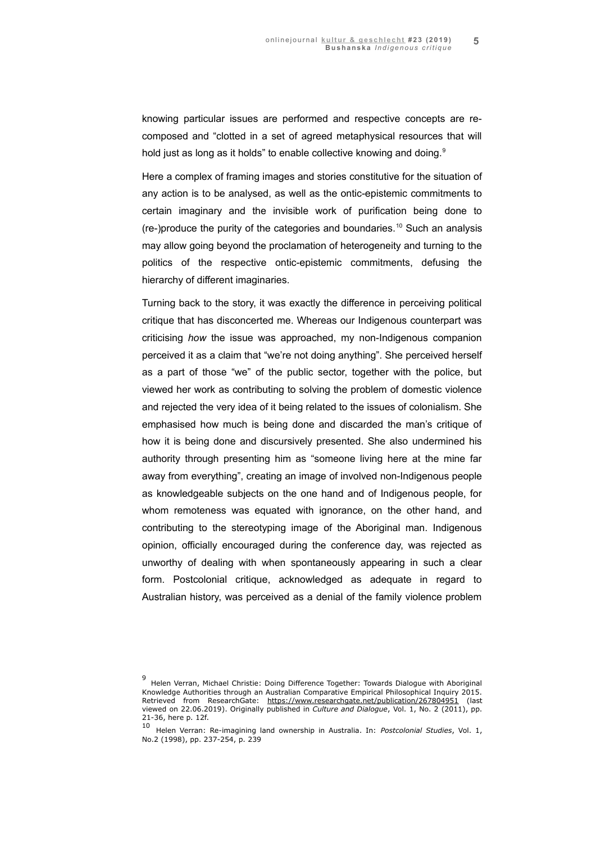knowing particular issues are performed and respective concepts are recomposed and "clotted in a set of agreed metaphysical resources that will hold just as long as it holds" to enable collective knowing and doing.<sup>[9](#page-4-0)</sup>

Here a complex of framing images and stories constitutive for the situation of any action is to be analysed, as well as the ontic-epistemic commitments to certain imaginary and the invisible work of purification being done to (re-)produce the purity of the categories and boundaries.<sup>[10](#page-4-1)</sup> Such an analysis may allow going beyond the proclamation of heterogeneity and turning to the politics of the respective ontic-epistemic commitments, defusing the hierarchy of different imaginaries.

Turning back to the story, it was exactly the difference in perceiving political critique that has disconcerted me. Whereas our Indigenous counterpart was criticising *how* the issue was approached, my non-Indigenous companion perceived it as a claim that "we're not doing anything". She perceived herself as a part of those "we" of the public sector, together with the police, but viewed her work as contributing to solving the problem of domestic violence and rejected the very idea of it being related to the issues of colonialism. She emphasised how much is being done and discarded the man's critique of how it is being done and discursively presented. She also undermined his authority through presenting him as "someone living here at the mine far away from everything", creating an image of involved non-Indigenous people as knowledgeable subjects on the one hand and of Indigenous people, for whom remoteness was equated with ignorance, on the other hand, and contributing to the stereotyping image of the Aboriginal man. Indigenous opinion, officially encouraged during the conference day, was rejected as unworthy of dealing with when spontaneously appearing in such a clear form. Postcolonial critique, acknowledged as adequate in regard to Australian history, was perceived as a denial of the family violence problem

<span id="page-4-0"></span><sup>9&</sup>lt;br>Helen Verran, Michael Christie: Doing Difference Together: Towards Dialogue with Aboriginal Knowledge Authorities through an Australian Comparative Empirical Philosophical Inquiry 2015. Retrieved from ResearchGate:<https://www.researchgate.net/publication/267804951> [\(last](https://www.researchgate.net/publication/267804951.(last) viewed on 22.06.2019). Originally published in *Culture and Dialogue*, Vol. 1, No. 2 (2011), pp. 21-36, here p. 12f.

<span id="page-4-1"></span><sup>10</sup>Helen Verran: Re-imagining land ownership in Australia. In: *Postcolonial Studies*, Vol. 1, No.2 (1998), pp. 237-254, p. 239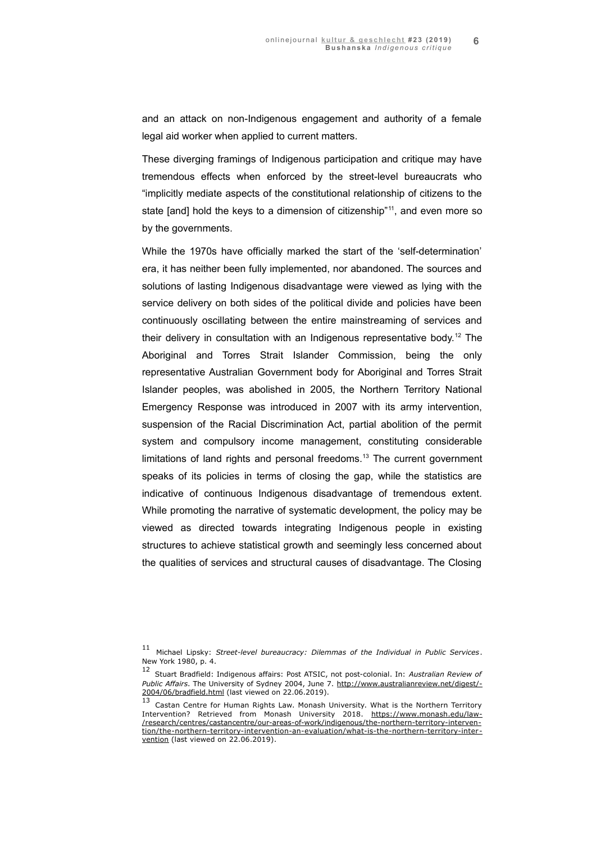and an attack on non-Indigenous engagement and authority of a female legal aid worker when applied to current matters.

These diverging framings of Indigenous participation and critique may have tremendous effects when enforced by the street-level bureaucrats who "implicitly mediate aspects of the constitutional relationship of citizens to the state [and] hold the keys to a dimension of citizenship"<sup>[11](#page-5-0)</sup>, and even more so by the governments.

While the 1970s have officially marked the start of the 'self-determination' era, it has neither been fully implemented, nor abandoned. The sources and solutions of lasting Indigenous disadvantage were viewed as lying with the service delivery on both sides of the political divide and policies have been continuously oscillating between the entire mainstreaming of services and their delivery in consultation with an Indigenous representative body.[12](#page-5-1) The Aboriginal and Torres Strait Islander Commission, being the only representative Australian Government body for Aboriginal and Torres Strait Islander peoples, was abolished in 2005, the Northern Territory National Emergency Response was introduced in 2007 with its army intervention, suspension of the Racial Discrimination Act, partial abolition of the permit system and compulsory income management, constituting considerable limitations of land rights and personal freedoms.<sup>[13](#page-5-2)</sup> The current government speaks of its policies in terms of closing the gap, while the statistics are indicative of continuous Indigenous disadvantage of tremendous extent. While promoting the narrative of systematic development, the policy may be viewed as directed towards integrating Indigenous people in existing structures to achieve statistical growth and seemingly less concerned about the qualities of services and structural causes of disadvantage. The Closing

<span id="page-5-0"></span><sup>11</sup> Michael Lipsky: Street-level bureaucracy: Dilemmas of the Individual in Public Services. New York 1980, p. 4.

<span id="page-5-1"></span><sup>12</sup>Stuart Bradfield: Indigenous affairs: Post ATSIC, not post-colonial. In: *Australian Review of* Public Affairs. The University of Sydney 2004, June 7. http://www.australianreview.net/digest/ [2004/06/bradfield.html](http://www.australianreview.net/digest/2004/06/bradfield.html) (last viewed on 22.06.2019).

<span id="page-5-2"></span><sup>13</sup> Castan Centre for Human Rights Law. Monash University. What is the Northern Territory Intervention? Retrieved from Monash University 2018. [https://www.monash.edu/law -](https://www.monash.edu/law/research/centres/castancentre/our-areas-of-work/indigenous/the-northern-territory-intervention/the-northern-territory-intervention-an-evaluation/what-is-the-northern-territory-intervention)  [/research/centres/ castancentre/our-areas-of-work/indigenous/ the-northern-territory-interven](https://www.monash.edu/law/research/centres/castancentre/our-areas-of-work/indigenous/the-northern-territory-intervention/the-northern-territory-intervention-an-evaluation/what-is-the-northern-territory-intervention)   [tion/the-northern-territory-intervention-an-evaluation/what-is-the-northern-territory-inter](https://www.monash.edu/law/research/centres/castancentre/our-areas-of-work/indigenous/the-northern-territory-intervention/the-northern-territory-intervention-an-evaluation/what-is-the-northern-territory-intervention)  [vention](https://www.monash.edu/law/research/centres/castancentre/our-areas-of-work/indigenous/the-northern-territory-intervention/the-northern-territory-intervention-an-evaluation/what-is-the-northern-territory-intervention) (last viewed on 22.06.2019).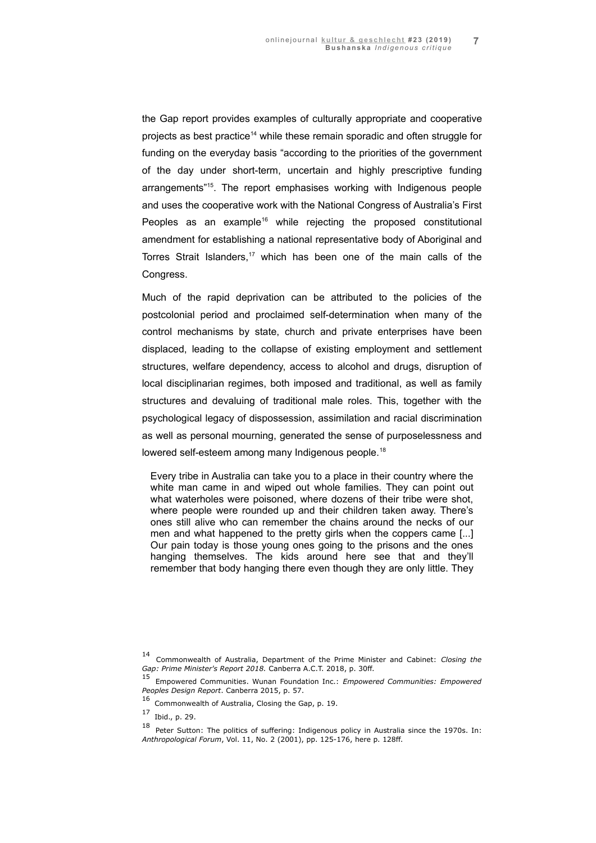the Gap report provides examples of culturally appropriate and cooperative projects as best practice<sup>[14](#page-6-0)</sup> while these remain sporadic and often struggle for funding on the everyday basis "according to the priorities of the government of the day under short-term, uncertain and highly prescriptive funding arrangements"[15](#page-6-1). The report emphasises working with Indigenous people and uses the cooperative work with the National Congress of Australia's First Peoples as an example<sup>[16](#page-6-2)</sup> while rejecting the proposed constitutional amendment for establishing a national representative body of Aboriginal and Torres Strait Islanders,<sup>[17](#page-6-3)</sup> which has been one of the main calls of the Congress.

Much of the rapid deprivation can be attributed to the policies of the postcolonial period and proclaimed self-determination when many of the control mechanisms by state, church and private enterprises have been displaced, leading to the collapse of existing employment and settlement structures, welfare dependency, access to alcohol and drugs, disruption of local disciplinarian regimes, both imposed and traditional, as well as family structures and devaluing of traditional male roles. This, together with the psychological legacy of dispossession, assimilation and racial discrimination as well as personal mourning, generated the sense of purposelessness and lowered self-esteem among many Indigenous people.<sup>[18](#page-6-4)</sup>

Every tribe in Australia can take you to a place in their country where the white man came in and wiped out whole families. They can point out what waterholes were poisoned, where dozens of their tribe were shot, where people were rounded up and their children taken away. There's ones still alive who can remember the chains around the necks of our men and what happened to the pretty girls when the coppers came [...] Our pain today is those young ones going to the prisons and the ones hanging themselves. The kids around here see that and they'll remember that body hanging there even though they are only little. They

<span id="page-6-0"></span><sup>14</sup>Commonwealth of Australia, Department of the Prime Minister and Cabinet: *Closing the Gap: Prime Minister's Report 2018.* Canberra A.C.T. 2018, p. 30ff.

<span id="page-6-1"></span><sup>15</sup>Empowered Communities. Wunan Foundation Inc.: *Empowered Communities: Empowered Peoples Design Report*. Canberra 2015, p. 57.

<span id="page-6-2"></span><sup>16</sup> Commonwealth of Australia, Closing the Gap, p. 19.

<span id="page-6-3"></span> $17$  Ibid., p. 29.

<span id="page-6-4"></span> $18$  Peter Sutton: The politics of suffering: Indigenous policy in Australia since the 1970s. In: *Anthropological Forum*, Vol. 11, No. 2 (2001), pp. 125-176, here p. 128ff.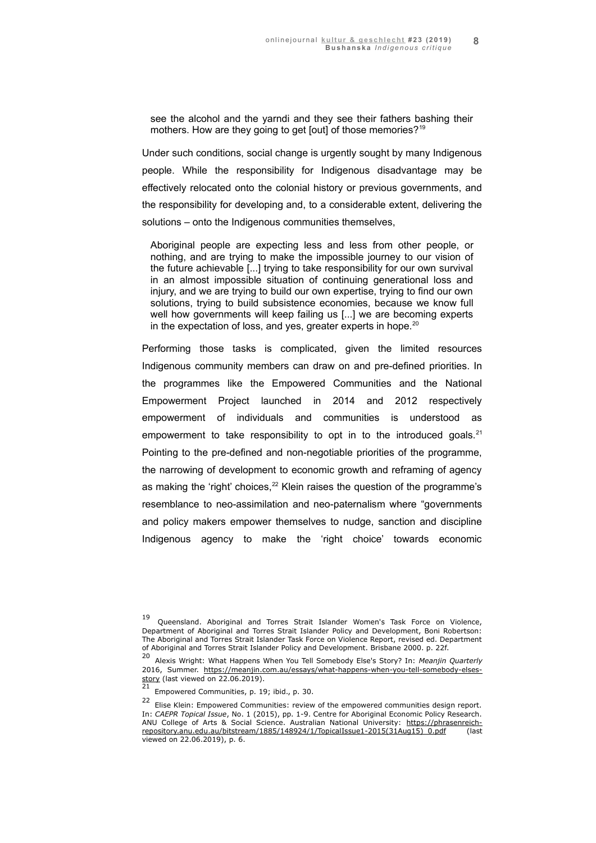see the alcohol and the yarndi and they see their fathers bashing their mothers. How are they going to get [out] of those memories?<sup>[19](#page-7-0)</sup>

Under such conditions, social change is urgently sought by many Indigenous people. While the responsibility for Indigenous disadvantage may be effectively relocated onto the colonial history or previous governments, and the responsibility for developing and, to a considerable extent, delivering the solutions – onto the Indigenous communities themselves,

Aboriginal people are expecting less and less from other people, or nothing, and are trying to make the impossible journey to our vision of the future achievable [...] trying to take responsibility for our own survival in an almost impossible situation of continuing generational loss and injury, and we are trying to build our own expertise, trying to find our own solutions, trying to build subsistence economies, because we know full well how governments will keep failing us [...] we are becoming experts in the expectation of loss, and yes, greater experts in hope. $20$ 

Performing those tasks is complicated, given the limited resources Indigenous community members can draw on and pre-defined priorities. In the programmes like the Empowered Communities and the National Empowerment Project launched in 2014 and 2012 respectively empowerment of individuals and communities is understood as empowerment to take responsibility to opt in to the introduced goals. $21$ Pointing to the pre-defined and non-negotiable priorities of the programme, the narrowing of development to economic growth and reframing of agency as making the 'right' choices, $22$  Klein raises the question of the programme's resemblance to neo-assimilation and neo-paternalism where "governments and policy makers empower themselves to nudge, sanction and discipline Indigenous agency to make the 'right choice' towards economic

<span id="page-7-0"></span><sup>19</sup>Queensland. Aboriginal and Torres Strait Islander Women's Task Force on Violence, Department of Aboriginal and Torres Strait Islander Policy and Development, Boni Robertson: The Aboriginal and Torres Strait Islander Task Force on Violence Report, revised ed. Department of Aboriginal and Torres Strait Islander Policy and Development. Brisbane 2000. p. 22f.

<span id="page-7-1"></span><sup>20</sup>Alexis Wright: What Happens When You Tell Somebody Else's Story? In: *Meanjin Quarterly* 2016, Summer. [https://meanjin.com.au/essays/what-happens-when-you-tell-somebody-elses](https://meanjin.com.au/essays/what-happens-when-you-tell-somebody-elses-story)[story](https://meanjin.com.au/essays/what-happens-when-you-tell-somebody-elses-story) (last viewed on 22.06.2019).

<span id="page-7-2"></span> $21$  Empowered Communities, p. 19; ibid., p. 30.

<span id="page-7-3"></span><sup>22</sup> Elise Klein: Empowered Communities: review of the empowered communities design report. In: *CAEPR Topical Issue*, No. 1 (2015), pp. 1-9. Centre for Aboriginal Economic Policy Research. ANU College of Arts & Social Science. Australian National University: [https://phrasenreich](https://phrasenreich-repository.anu.edu.au/bitstream/1885/148924/1/TopicalIssue1-2015(31Aug15)_0.pdf)[repository.anu.edu.au/bitstream/1885/148924/1/TopicalIssue1-2015\(31Aug15\)\\_0.pdf](https://phrasenreich-repository.anu.edu.au/bitstream/1885/148924/1/TopicalIssue1-2015(31Aug15)_0.pdf) (last viewed on 22.06.2019), p. 6.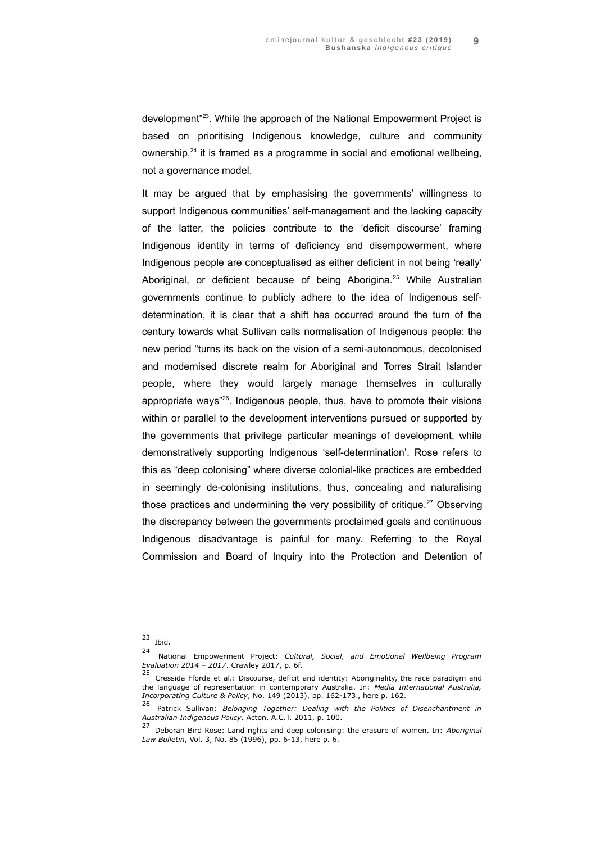development"[23](#page-8-0). While the approach of the National Empowerment Project is based on prioritising Indigenous knowledge, culture and community ownership, $24$  it is framed as a programme in social and emotional wellbeing, not a governance model.

It may be argued that by emphasising the governments' willingness to support Indigenous communities' self-management and the lacking capacity of the latter, the policies contribute to the 'deficit discourse' framing Indigenous identity in terms of deficiency and disempowerment, where Indigenous people are conceptualised as either deficient in not being 'really' Aboriginal, or deficient because of being Aborigina.<sup>[25](#page-8-2)</sup> While Australian governments continue to publicly adhere to the idea of Indigenous selfdetermination, it is clear that a shift has occurred around the turn of the century towards what Sullivan calls normalisation of Indigenous people: the new period "turns its back on the vision of a semi-autonomous, decolonised and modernised discrete realm for Aboriginal and Torres Strait Islander people, where they would largely manage themselves in culturally appropriate ways"<sup>[26](#page-8-3)</sup>. Indigenous people, thus, have to promote their visions within or parallel to the development interventions pursued or supported by the governments that privilege particular meanings of development, while demonstratively supporting Indigenous 'self-determination'. Rose refers to this as "deep colonising" where diverse colonial-like practices are embedded in seemingly de-colonising institutions, thus, concealing and naturalising those practices and undermining the very possibility of critique.<sup>[27](#page-8-4)</sup> Observing the discrepancy between the governments proclaimed goals and continuous Indigenous disadvantage is painful for many. Referring to the Royal Commission and Board of Inquiry into the Protection and Detention of

<span id="page-8-0"></span> $23$  Ibid.

<span id="page-8-1"></span><sup>24</sup>National Empowerment Project: *Cultural, Social, and Emotional Wellbeing Program Evaluation 2014 – 2017*. Crawley 2017, p. 6f.

<span id="page-8-2"></span> $25$  Cressida Fforde et al.: Discourse, deficit and identity: Aboriginality, the race paradigm and the language of representation in contemporary Australia. In: *Media International Australia, Incorporating Culture & Policy*, No. 149 (2013), pp. 162-173., here p. 162.

<span id="page-8-3"></span><sup>&</sup>lt;sup>26</sup> Patrick Sullivan: *Belonging Together: Dealing with the Politics of Disenchantment in Australian Indigenous Policy*. Acton, A.C.T. 2011, p. 100.

<span id="page-8-4"></span><sup>27</sup>Deborah Bird Rose: Land rights and deep colonising: the erasure of women. In: *Aboriginal Law Bulletin*, Vol. 3, No. 85 (1996), pp. 6-13, here p. 6.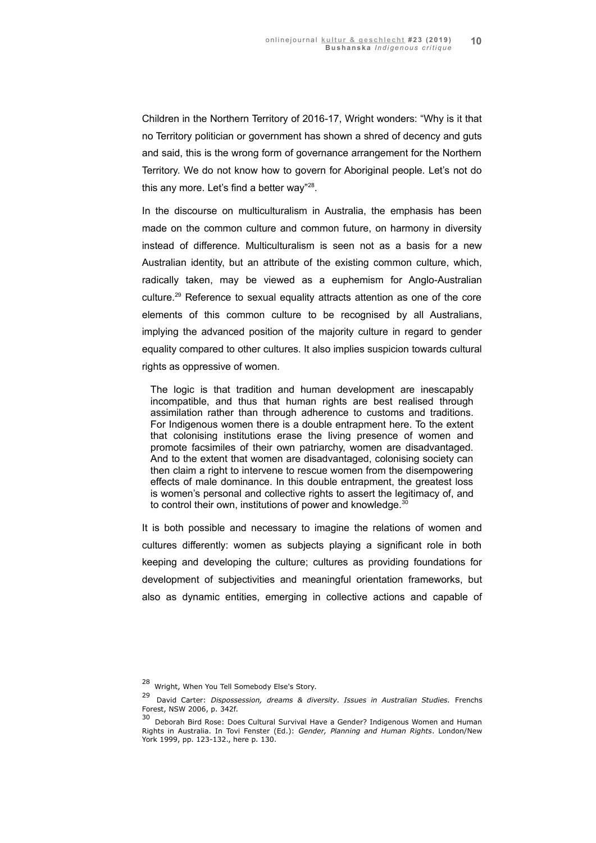Children in the Northern Territory of 2016-17, Wright wonders: "Why is it that no Territory politician or government has shown a shred of decency and guts and said, this is the wrong form of governance arrangement for the Northern Territory. We do not know how to govern for Aboriginal people. Let's not do this any more. Let's find a better way"<sup>[28](#page-9-0)</sup>.

In the discourse on multiculturalism in Australia, the emphasis has been made on the common culture and common future, on harmony in diversity instead of difference. Multiculturalism is seen not as a basis for a new Australian identity, but an attribute of the existing common culture, which, radically taken, may be viewed as a euphemism for Anglo-Australian culture.[29](#page-9-1) Reference to sexual equality attracts attention as one of the core elements of this common culture to be recognised by all Australians, implying the advanced position of the majority culture in regard to gender equality compared to other cultures. It also implies suspicion towards cultural rights as oppressive of women.

The logic is that tradition and human development are inescapably incompatible, and thus that human rights are best realised through assimilation rather than through adherence to customs and traditions. For Indigenous women there is a double entrapment here. To the extent that colonising institutions erase the living presence of women and promote facsimiles of their own patriarchy, women are disadvantaged. And to the extent that women are disadvantaged, colonising society can then claim a right to intervene to rescue women from the disempowering effects of male dominance. In this double entrapment, the greatest loss is women's personal and collective rights to assert the legitimacy of, and to control their own, institutions of power and knowledge.<sup>[30](#page-9-2)</sup>

It is both possible and necessary to imagine the relations of women and cultures differently: women as subjects playing a significant role in both keeping and developing the culture; cultures as providing foundations for development of subjectivities and meaningful orientation frameworks, but also as dynamic entities, emerging in collective actions and capable of

<span id="page-9-0"></span> $28$  Wright, When You Tell Somebody Else's Story.

<span id="page-9-1"></span><sup>29</sup>David Carter: *Dispossession, dreams & diversity. Issues in Australian Studies.* Frenchs Forest, NSW 2006, p. 342f.

<span id="page-9-2"></span> $30$  Deborah Bird Rose: Does Cultural Survival Have a Gender? Indigenous Women and Human Rights in Australia. In Tovi Fenster (Ed.): *Gender, Planning and Human Rights*. London/New York 1999, pp. 123-132., here p. 130.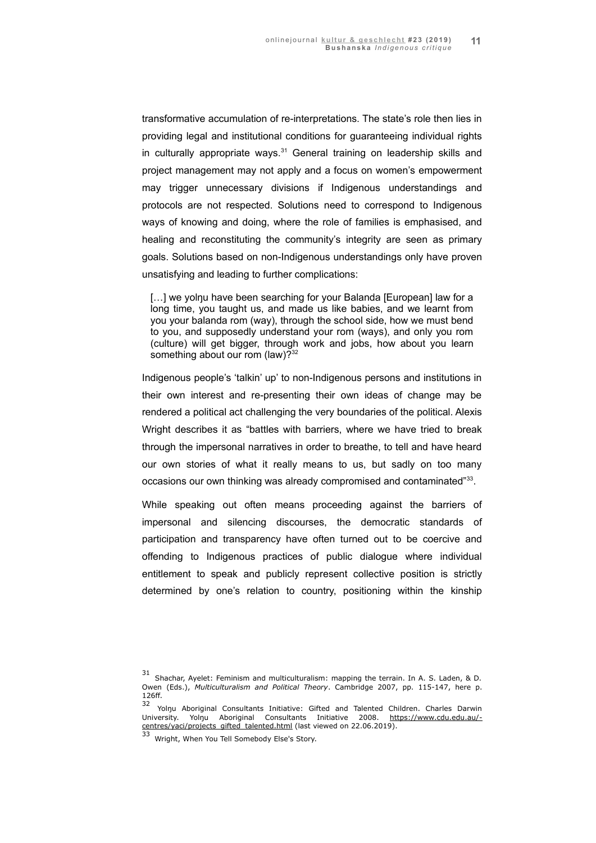transformative accumulation of re-interpretations. The state's role then lies in providing legal and institutional conditions for guaranteeing individual rights in culturally appropriate ways.<sup>[31](#page-10-0)</sup> General training on leadership skills and project management may not apply and a focus on women's empowerment may trigger unnecessary divisions if Indigenous understandings and protocols are not respected. Solutions need to correspond to Indigenous ways of knowing and doing, where the role of families is emphasised, and healing and reconstituting the community's integrity are seen as primary goals. Solutions based on non-Indigenous understandings only have proven unsatisfying and leading to further complications:

[...] we yolnu have been searching for your Balanda [European] law for a long time, you taught us, and made us like babies, and we learnt from you your balanda rom (way), through the school side, how we must bend to you, and supposedly understand your rom (ways), and only you rom (culture) will get bigger, through work and jobs, how about you learn something about our rom (law)?<sup>[32](#page-10-1)</sup>

Indigenous people's 'talkin' up' to non-Indigenous persons and institutions in their own interest and re-presenting their own ideas of change may be rendered a political act challenging the very boundaries of the political. Alexis Wright describes it as "battles with barriers, where we have tried to break through the impersonal narratives in order to breathe, to tell and have heard our own stories of what it really means to us, but sadly on too many occasions our own thinking was already compromised and contaminated"<sup>[33](#page-10-2)</sup>.

While speaking out often means proceeding against the barriers of impersonal and silencing discourses, the democratic standards of participation and transparency have often turned out to be coercive and offending to Indigenous practices of public dialogue where individual entitlement to speak and publicly represent collective position is strictly determined by one's relation to country, positioning within the kinship

<span id="page-10-0"></span> $31$  Shachar, Ayelet: Feminism and multiculturalism: mapping the terrain. In A. S. Laden, & D. Owen (Eds.), *Multiculturalism and Political Theory*. Cambridge 2007, pp. 115-147, here p. 126ff.

<span id="page-10-1"></span><sup>32</sup> Yolnu Aboriginal Consultants Initiative: Gifted and Talented Children. Charles Darwin University. Yolnu Aboriginal Consultants Initiative 2008. https://www.cdu.edu.au/[centres/yaci/projects\\_gifted\\_talented.html](https://www.cdu.edu.au/centres/yaci/projects_gifted_talented.html) (last viewed on 22.06.2019).

<span id="page-10-2"></span><sup>33</sup> Wright, When You Tell Somebody Else's Story.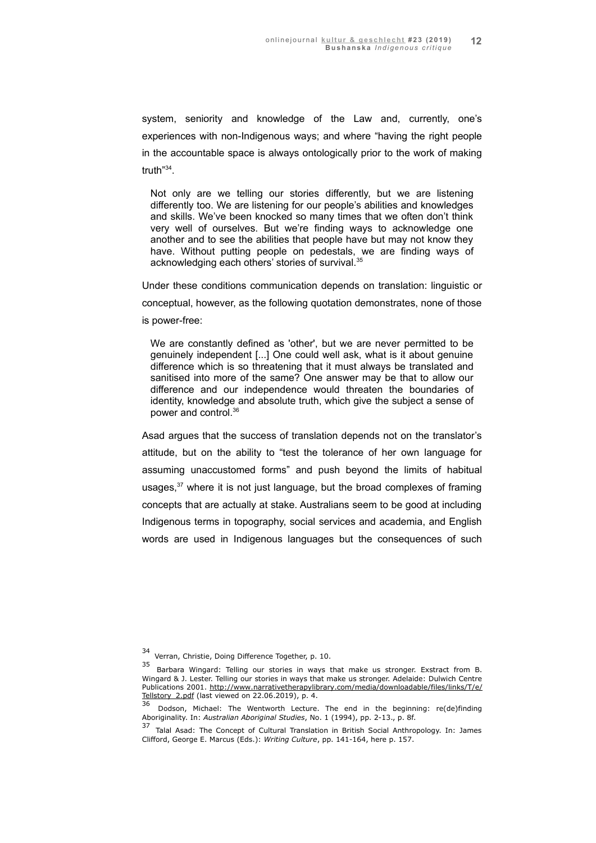system, seniority and knowledge of the Law and, currently, one's experiences with non-Indigenous ways; and where "having the right people in the accountable space is always ontologically prior to the work of making truth"[34](#page-11-0) .

Not only are we telling our stories differently, but we are listening differently too. We are listening for our people's abilities and knowledges and skills. We've been knocked so many times that we often don't think very well of ourselves. But we're finding ways to acknowledge one another and to see the abilities that people have but may not know they have. Without putting people on pedestals, we are finding ways of acknowledging each others' stories of survival.<sup>[35](#page-11-1)</sup>

Under these conditions communication depends on translation: linguistic or conceptual, however, as the following quotation demonstrates, none of those is power-free:

We are constantly defined as 'other', but we are never permitted to be genuinely independent [...] One could well ask, what is it about genuine difference which is so threatening that it must always be translated and sanitised into more of the same? One answer may be that to allow our difference and our independence would threaten the boundaries of identity, knowledge and absolute truth, which give the subject a sense of power and control.[36](#page-11-2)

Asad argues that the success of translation depends not on the translator's attitude, but on the ability to "test the tolerance of her own language for assuming unaccustomed forms" and push beyond the limits of habitual usages,<sup>[37](#page-11-3)</sup> where it is not just language, but the broad complexes of framing concepts that are actually at stake. Australians seem to be good at including Indigenous terms in topography, social services and academia, and English words are used in Indigenous languages but the consequences of such

<span id="page-11-0"></span><sup>34</sup> Verran, Christie, Doing Difference Together, p. 10.

<span id="page-11-1"></span><sup>35</sup> Barbara Wingard: Telling our stories in ways that make us stronger. Exstract from B. Wingard & J. Lester. Telling our stories in ways that make us stronger. Adelaide: Dulwich Centre Publications 2001. http://www.narrativetherapylibrary.com/media/downloadable/files/links/T/e/ Tellstory 2.pdf (last viewed on 22.06.2019), p. 4.

<span id="page-11-2"></span> $36$  Dodson, Michael: The Wentworth Lecture. The end in the beginning: re(de)finding Aboriginality. In: *Australian Aboriginal Studies*, No. 1 (1994), pp. 2-13., p. 8f.

<span id="page-11-3"></span><sup>&</sup>lt;sup>37</sup> Talal Asad: The Concept of Cultural Translation in British Social Anthropology. In: James Clifford, George E. Marcus (Eds.): *Writing Culture*, pp. 141-164, here p. 157.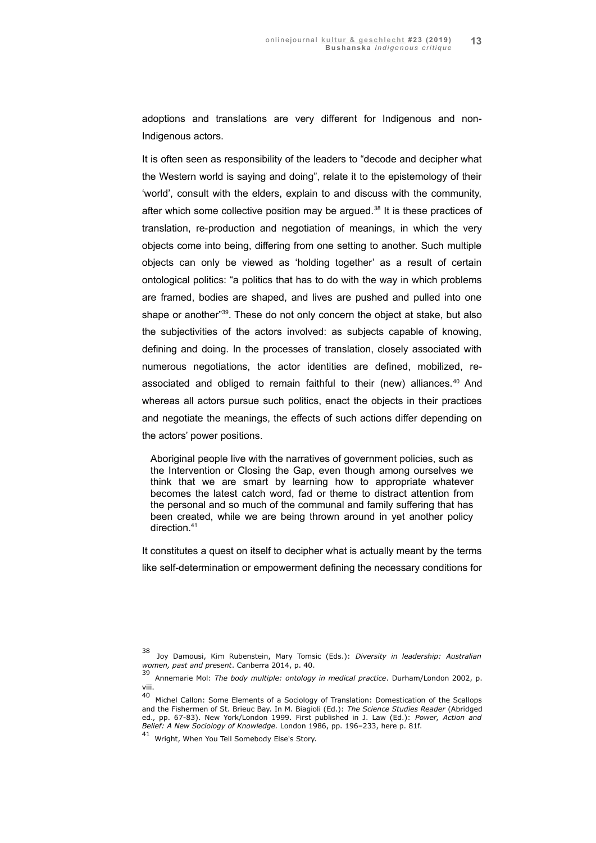adoptions and translations are very different for Indigenous and non-Indigenous actors.

It is often seen as responsibility of the leaders to "decode and decipher what the Western world is saying and doing", relate it to the epistemology of their 'world', consult with the elders, explain to and discuss with the community, after which some collective position may be argued.<sup>[38](#page-12-0)</sup> It is these practices of translation, re-production and negotiation of meanings, in which the very objects come into being, differing from one setting to another. Such multiple objects can only be viewed as 'holding together' as a result of certain ontological politics: "a politics that has to do with the way in which problems are framed, bodies are shaped, and lives are pushed and pulled into one shape or another"<sup>[39](#page-12-1)</sup>. These do not only concern the object at stake, but also the subjectivities of the actors involved: as subjects capable of knowing, defining and doing. In the processes of translation, closely associated with numerous negotiations, the actor identities are defined, mobilized, re-associated and obliged to remain faithful to their (new) alliances.<sup>[40](#page-12-2)</sup> And whereas all actors pursue such politics, enact the objects in their practices and negotiate the meanings, the effects of such actions differ depending on the actors' power positions.

Aboriginal people live with the narratives of government policies, such as the Intervention or Closing the Gap, even though among ourselves we think that we are smart by learning how to appropriate whatever becomes the latest catch word, fad or theme to distract attention from the personal and so much of the communal and family suffering that has been created, while we are being thrown around in yet another policy direction.[41](#page-12-3)

It constitutes a quest on itself to decipher what is actually meant by the terms like self-determination or empowerment defining the necessary conditions for

<span id="page-12-0"></span><sup>38</sup>Joy Damousi, Kim Rubenstein, Mary Tomsic (Eds.): *Diversity in leadership: Australian women, past and present*. Canberra 2014, p. 40.

<span id="page-12-1"></span><sup>39</sup>Annemarie Mol: *The body multiple: ontology in medical practice*. Durham/London 2002, p. viii.

<span id="page-12-2"></span><sup>40</sup> Michel Callon: Some Elements of a Sociology of Translation: Domestication of the Scallops and the Fishermen of St. Brieuc Bay. In M. Biagioli (Ed.): *The Science Studies Reader* (Abridged ed., pp. 67-83). New York/London 1999. First published in J. Law (Ed.): *Power, Action and Belief: A New Sociology of Knowledge.* London 1986, pp. 196–233, here p. 81f.

<span id="page-12-3"></span><sup>41</sup> Wright, When You Tell Somebody Else's Story.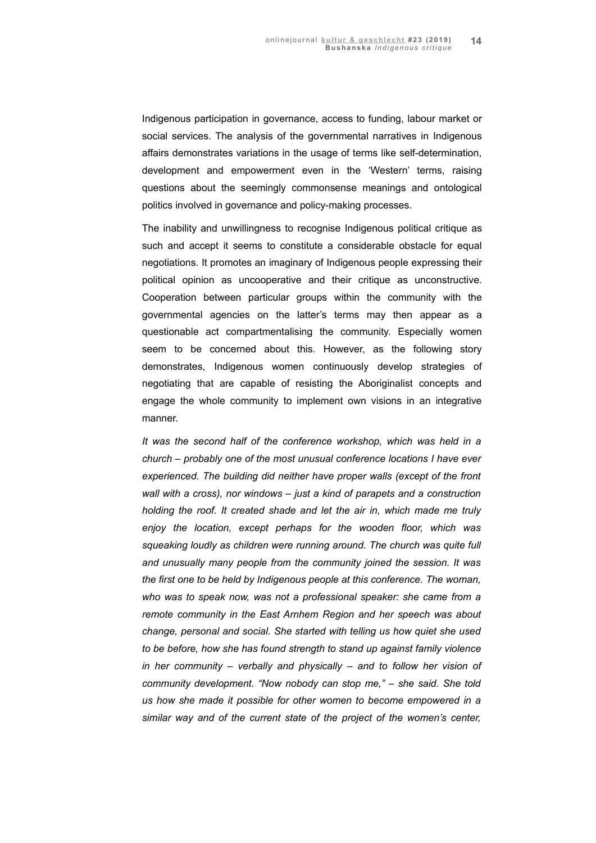Indigenous participation in governance, access to funding, labour market or social services. The analysis of the governmental narratives in Indigenous affairs demonstrates variations in the usage of terms like self-determination, development and empowerment even in the 'Western' terms, raising questions about the seemingly commonsense meanings and ontological politics involved in governance and policy-making processes.

The inability and unwillingness to recognise Indigenous political critique as such and accept it seems to constitute a considerable obstacle for equal negotiations. It promotes an imaginary of Indigenous people expressing their political opinion as uncooperative and their critique as unconstructive. Cooperation between particular groups within the community with the governmental agencies on the latter's terms may then appear as a questionable act compartmentalising the community. Especially women seem to be concerned about this. However, as the following story demonstrates, Indigenous women continuously develop strategies of negotiating that are capable of resisting the Aboriginalist concepts and engage the whole community to implement own visions in an integrative manner.

*It was the second half of the conference workshop, which was held in a church – probably one of the most unusual conference locations I have ever experienced. The building did neither have proper walls (except of the front wall with a cross), nor windows – just a kind of parapets and a construction holding the roof. It created shade and let the air in, which made me truly enjoy the location, except perhaps for the wooden floor, which was squeaking loudly as children were running around. The church was quite full and unusually many people from the community joined the session. It was the first one to be held by Indigenous people at this conference. The woman, who was to speak now, was not a professional speaker: she came from a remote community in the East Arnhem Region and her speech was about change, personal and social. She started with telling us how quiet she used to be before, how she has found strength to stand up against family violence in her community – verbally and physically – and to follow her vision of community development. "Now nobody can stop me," – she said. She told us how she made it possible for other women to become empowered in a similar way and of the current state of the project of the women's center,*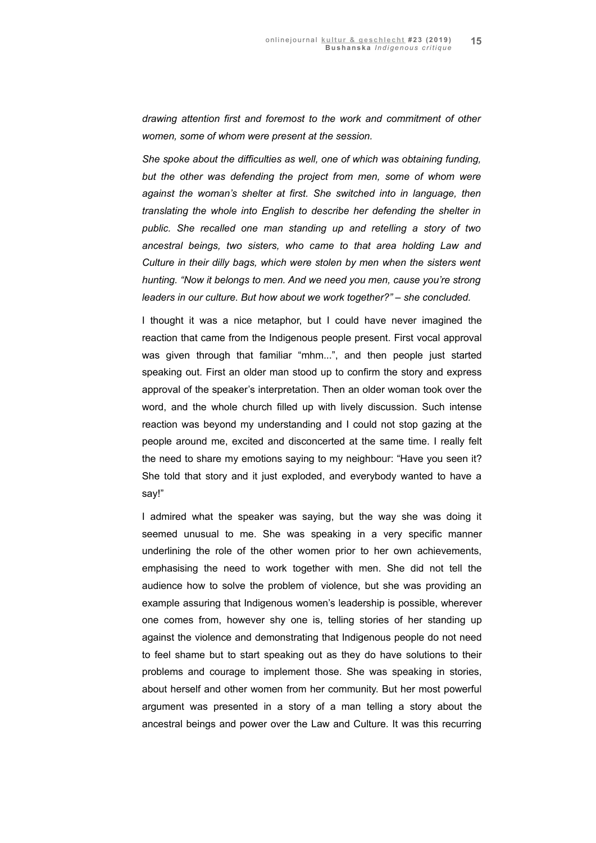*drawing attention first and foremost to the work and commitment of other women, some of whom were present at the session.* 

*She spoke about the difficulties as well, one of which was obtaining funding, but the other was defending the project from men, some of whom were against the woman's shelter at first. She switched into in language, then translating the whole into English to describe her defending the shelter in public. She recalled one man standing up and retelling a story of two ancestral beings, two sisters, who came to that area holding Law and Culture in their dilly bags, which were stolen by men when the sisters went hunting. "Now it belongs to men. And we need you men, cause you're strong leaders in our culture. But how about we work together?" – she concluded.* 

I thought it was a nice metaphor, but I could have never imagined the reaction that came from the Indigenous people present. First vocal approval was given through that familiar "mhm...", and then people just started speaking out. First an older man stood up to confirm the story and express approval of the speaker's interpretation. Then an older woman took over the word, and the whole church filled up with lively discussion. Such intense reaction was beyond my understanding and I could not stop gazing at the people around me, excited and disconcerted at the same time. I really felt the need to share my emotions saying to my neighbour: "Have you seen it? She told that story and it just exploded, and everybody wanted to have a say!"

I admired what the speaker was saying, but the way she was doing it seemed unusual to me. She was speaking in a very specific manner underlining the role of the other women prior to her own achievements, emphasising the need to work together with men. She did not tell the audience how to solve the problem of violence, but she was providing an example assuring that Indigenous women's leadership is possible, wherever one comes from, however shy one is, telling stories of her standing up against the violence and demonstrating that Indigenous people do not need to feel shame but to start speaking out as they do have solutions to their problems and courage to implement those. She was speaking in stories, about herself and other women from her community. But her most powerful argument was presented in a story of a man telling a story about the ancestral beings and power over the Law and Culture. It was this recurring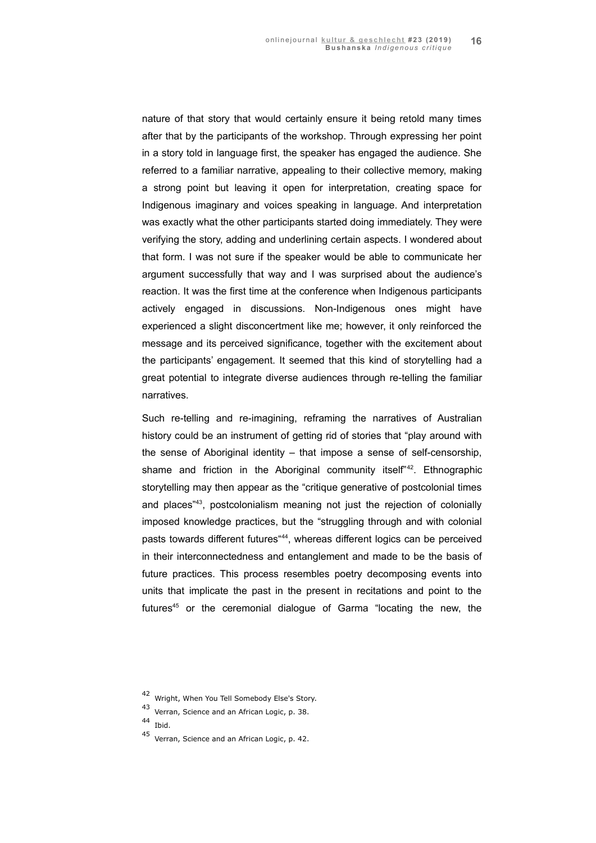nature of that story that would certainly ensure it being retold many times after that by the participants of the workshop. Through expressing her point in a story told in language first, the speaker has engaged the audience. She referred to a familiar narrative, appealing to their collective memory, making a strong point but leaving it open for interpretation, creating space for Indigenous imaginary and voices speaking in language. And interpretation was exactly what the other participants started doing immediately. They were verifying the story, adding and underlining certain aspects. I wondered about that form. I was not sure if the speaker would be able to communicate her argument successfully that way and I was surprised about the audience's reaction. It was the first time at the conference when Indigenous participants actively engaged in discussions. Non-Indigenous ones might have experienced a slight disconcertment like me; however, it only reinforced the message and its perceived significance, together with the excitement about the participants' engagement. It seemed that this kind of storytelling had a great potential to integrate diverse audiences through re-telling the familiar narratives.

Such re-telling and re-imagining, reframing the narratives of Australian history could be an instrument of getting rid of stories that "play around with the sense of Aboriginal identity – that impose a sense of self-censorship, shame and friction in the Aboriginal community itself<sup> $n42$  $n42$ </sup>. Ethnographic storytelling may then appear as the "critique generative of postcolonial times and places<sup>"[43](#page-15-1)</sup>, postcolonialism meaning not just the rejection of colonially imposed knowledge practices, but the "struggling through and with colonial pasts towards different futures<sup>[44](#page-15-2)4</sup>, whereas different logics can be perceived in their interconnectedness and entanglement and made to be the basis of future practices. This process resembles poetry decomposing events into units that implicate the past in the present in recitations and point to the futures<sup>[45](#page-15-3)</sup> or the ceremonial dialogue of Garma "locating the new, the

<span id="page-15-0"></span><sup>42</sup> Wright, When You Tell Somebody Else's Story.

<span id="page-15-1"></span><sup>43</sup> Verran, Science and an African Logic, p. 38.

<span id="page-15-2"></span><sup>44</sup> Ibid.

<span id="page-15-3"></span><sup>45</sup> Verran, Science and an African Logic, p. 42.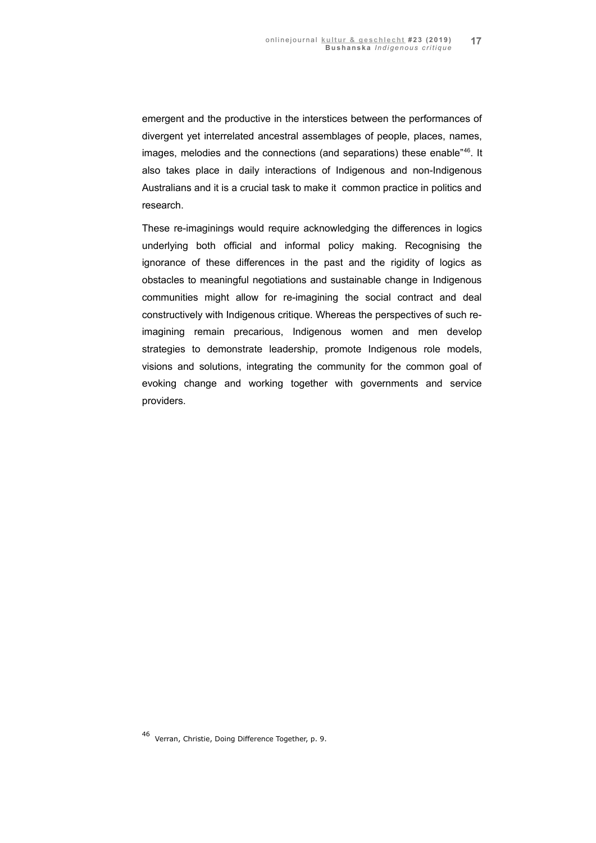emergent and the productive in the interstices between the performances of divergent yet interrelated ancestral assemblages of people, places, names, images, melodies and the connections (and separations) these enable<sup>"[46](#page-16-0)</sup>. It also takes place in daily interactions of Indigenous and non-Indigenous Australians and it is a crucial task to make it common practice in politics and research.

These re-imaginings would require acknowledging the differences in logics underlying both official and informal policy making. Recognising the ignorance of these differences in the past and the rigidity of logics as obstacles to meaningful negotiations and sustainable change in Indigenous communities might allow for re-imagining the social contract and deal constructively with Indigenous critique. Whereas the perspectives of such reimagining remain precarious, Indigenous women and men develop strategies to demonstrate leadership, promote Indigenous role models, visions and solutions, integrating the community for the common goal of evoking change and working together with governments and service providers.

<span id="page-16-0"></span><sup>46</sup> Verran, Christie, Doing Difference Together, p. 9.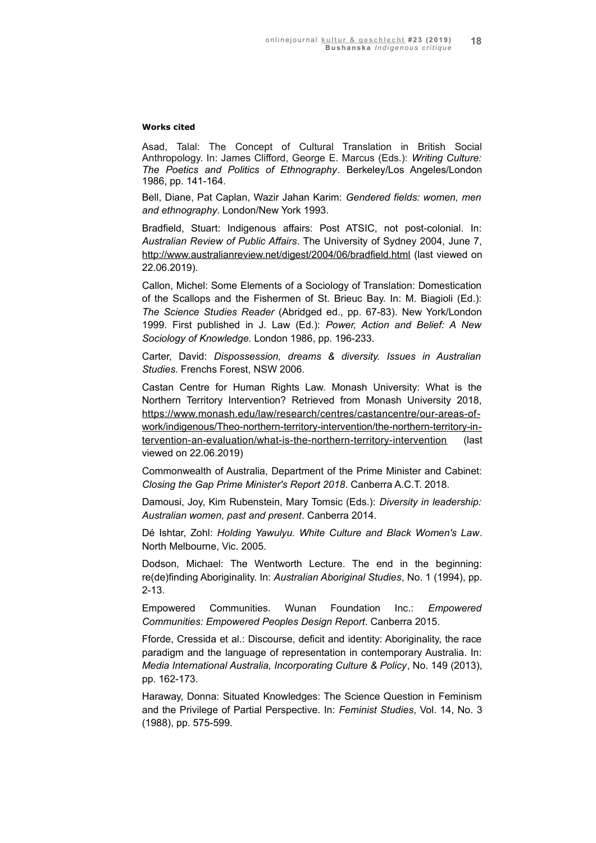#### **Works cited**

Asad, Talal: The Concept of Cultural Translation in British Social Anthropology. In: James Clifford, George E. Marcus (Eds.): *Writing Culture: The Poetics and Politics of Ethnography*. Berkeley/Los Angeles/London 1986, pp. 141-164.

Bell, Diane, Pat Caplan, Wazir Jahan Karim: *Gendered fields: women, men and ethnography*. London/New York 1993.

Bradfield, Stuart: Indigenous affairs: Post ATSIC, not post-colonial. In: *Australian Review of Public Affairs*. The University of Sydney 2004, June 7, <http://www.australianreview.net/digest/2004/06/bradfield.html> (last viewed on 22.06.2019).

Callon, Michel: Some Elements of a Sociology of Translation: Domestication of the Scallops and the Fishermen of St. Brieuc Bay. In: M. Biagioli (Ed.): *The Science Studies Reader* (Abridged ed., pp. 67-83). New York/London 1999. First published in J. Law (Ed.): *Power, Action and Belief: A New Sociology of Knowledge.* London 1986, pp. 196-233.

Carter, David: *Dispossession, dreams & diversity. Issues in Australian Studies*. Frenchs Forest, NSW 2006.

Castan Centre for Human Rights Law. Monash University: What is the Northern Territory Intervention? Retrieved from Monash University 2018,  [https://www.monash.edu/law/research/centres/castancentre/our-areas-of](https://www.monash.edu/law/research/centres/castancentre/our-areas-of-work/indigenous/Theo-northern-territory-intervention/the-northern-territory-intervention-an-evaluation/what-is-the-northern-territory-intervention)   [work/indigenous/Theo-northern-territory-intervention/the-northern-territory-in](https://www.monash.edu/law/research/centres/castancentre/our-areas-of-work/indigenous/Theo-northern-territory-intervention/the-northern-territory-intervention-an-evaluation/what-is-the-northern-territory-intervention)  [tervention-an-evaluation/what-is-the-northern-territory-intervention](https://www.monash.edu/law/research/centres/castancentre/our-areas-of-work/indigenous/Theo-northern-territory-intervention/the-northern-territory-intervention-an-evaluation/what-is-the-northern-territory-intervention) (last viewed on 22.06.2019)

Commonwealth of Australia, Department of the Prime Minister and Cabinet: *Closing the Gap Prime Minister's Report 2018*. Canberra A.C.T. 2018.

Damousi, Joy, Kim Rubenstein, Mary Tomsic (Eds.): *Diversity in leadership: Australian women, past and present*. Canberra 2014.

Dé Ishtar, Zohl: *Holding Yawulyu. White Culture and Black Women's Law*. North Melbourne, Vic. 2005.

Dodson, Michael: The Wentworth Lecture. The end in the beginning: re(de)finding Aboriginality. In: *Australian Aboriginal Studies*, No. 1 (1994), pp. 2-13.

Empowered Communities. Wunan Foundation Inc.: *Empowered Communities: Empowered Peoples Design Report*. Canberra 2015.

Fforde, Cressida et al.: Discourse, deficit and identity: Aboriginality, the race paradigm and the language of representation in contemporary Australia. In: *Media International Australia, Incorporating Culture & Policy*, No. 149 (2013), pp. 162-173.

Haraway, Donna: Situated Knowledges: The Science Question in Feminism and the Privilege of Partial Perspective. In: *Feminist Studies*, Vol. 14, No. 3 (1988), pp. 575-599.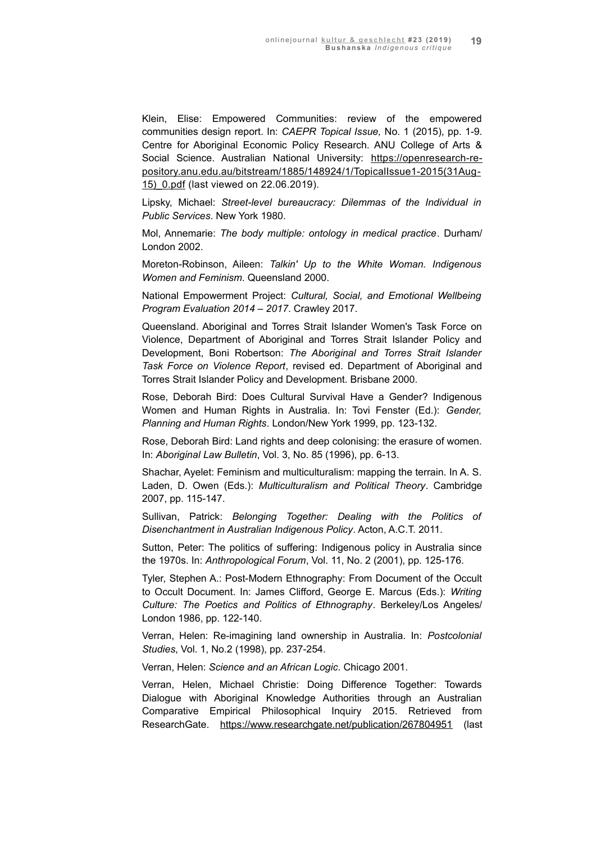Klein, Elise: Empowered Communities: review of the empowered communities design report. In: *CAEPR Topical Issue,* No. 1 (2015), pp. 1-9. Centre for Aboriginal Economic Policy Research. ANU College of Arts & Social Science. Australian National University: https://openresearch-re [pository.anu.edu.au/bitstream/1885/148924/1/TopicalIssue1-2015\(31Aug -](https://openresearch-repository.anu.edu.au/bitstream/1885/148924/1/TopicalIssue1-2015(31Aug15)_0.pdf) 15) 0.pdf (last viewed on 22.06.2019).

Lipsky, Michael: *Street-level bureaucracy: Dilemmas of the Individual in Public Services*. New York 1980.

Mol, Annemarie: *The body multiple: ontology in medical practice*. Durham/ London 2002.

Moreton-Robinson, Aileen: *Talkin' Up to the White Woman. Indigenous Women and Feminism*. Queensland 2000.

National Empowerment Project: *Cultural, Social, and Emotional Wellbeing Program Evaluation 2014 – 2017*. Crawley 2017.

Queensland. Aboriginal and Torres Strait Islander Women's Task Force on Violence, Department of Aboriginal and Torres Strait Islander Policy and Development, Boni Robertson: *The Aboriginal and Torres Strait Islander Task Force on Violence Report*, revised ed. Department of Aboriginal and Torres Strait Islander Policy and Development. Brisbane 2000.

Rose, Deborah Bird: Does Cultural Survival Have a Gender? Indigenous Women and Human Rights in Australia. In: Tovi Fenster (Ed.): *Gender, Planning and Human Rights*. London/New York 1999, pp. 123-132.

Rose, Deborah Bird: Land rights and deep colonising: the erasure of women. In: *Aboriginal Law Bulletin*, Vol. 3, No. 85 (1996), pp. 6-13.

Shachar, Ayelet: Feminism and multiculturalism: mapping the terrain. In A. S. Laden, D. Owen (Eds.): *Multiculturalism and Political Theory*. Cambridge 2007, pp. 115-147.

Sullivan, Patrick: *Belonging Together: Dealing with the Politics of Disenchantment in Australian Indigenous Policy*. Acton, A.C.T. 2011.

Sutton, Peter: The politics of suffering: Indigenous policy in Australia since the 1970s. In: *Anthropological Forum*, Vol. 11, No. 2 (2001), pp. 125-176.

Tyler, Stephen A.: Post-Modern Ethnography: From Document of the Occult to Occult Document. In: James Clifford, George E. Marcus (Eds.): *Writing Culture: The Poetics and Politics of Ethnography*. Berkeley/Los Angeles/ London 1986, pp. 122-140.

Verran, Helen: Re-imagining land ownership in Australia. In: *Postcolonial Studies*, Vol. 1, No.2 (1998), pp. 237-254.

Verran, Helen: *Science and an African Logic*. Chicago 2001.

Verran, Helen, Michael Christie: Doing Difference Together: Towards Dialogue with Aboriginal Knowledge Authorities through an Australian Comparative Empirical Philosophical Inquiry 2015. Retrieved from ResearchGate.<https://www.researchgate.net/publication/267804951> (last